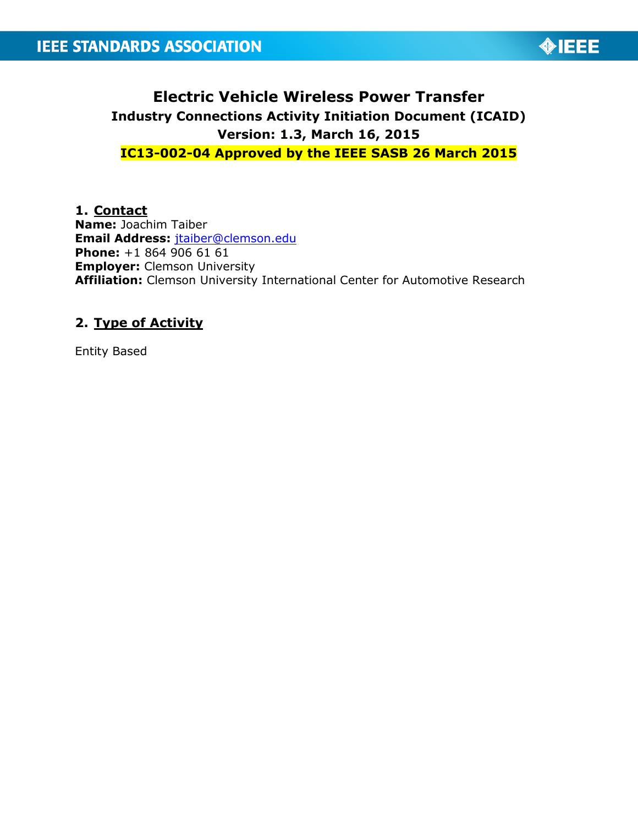

# **Electric Vehicle Wireless Power Transfer Industry Connections Activity Initiation Document (ICAID) Version: 1.3, March 16, 2015 IC13-002-04 Approved by the IEEE SASB 26 March 2015**

**1. Contact Name:** Joachim Taiber **Email Address:** [jtaiber@clemson.edu](mailto:jtaiber@clemson.edu) **Phone:** +1 864 906 61 61 **Employer:** Clemson University **Affiliation:** Clemson University International Center for Automotive Research

# **2. Type of Activity**

Entity Based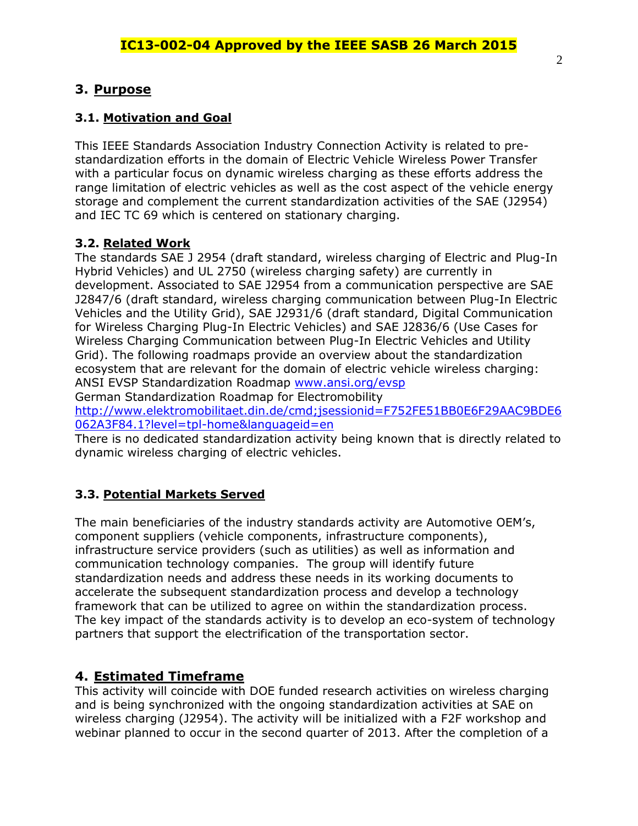# **3. Purpose**

## **3.1. Motivation and Goal**

This IEEE Standards Association Industry Connection Activity is related to prestandardization efforts in the domain of Electric Vehicle Wireless Power Transfer with a particular focus on dynamic wireless charging as these efforts address the range limitation of electric vehicles as well as the cost aspect of the vehicle energy storage and complement the current standardization activities of the SAE (J2954) and IEC TC 69 which is centered on stationary charging.

## **3.2. Related Work**

The standards SAE J 2954 (draft standard, wireless charging of Electric and Plug-In Hybrid Vehicles) and UL 2750 (wireless charging safety) are currently in development. Associated to SAE J2954 from a communication perspective are SAE J2847/6 (draft standard, wireless charging communication between Plug-In Electric Vehicles and the Utility Grid), SAE J2931/6 (draft standard, Digital Communication for Wireless Charging Plug-In Electric Vehicles) and SAE J2836/6 (Use Cases for Wireless Charging Communication between Plug-In Electric Vehicles and Utility Grid). The following roadmaps provide an overview about the standardization ecosystem that are relevant for the domain of electric vehicle wireless charging: ANSI EVSP Standardization Roadmap [www.ansi.org/evsp](http://www.ansi.org/evsp)

German Standardization Roadmap for Electromobility

[http://www.elektromobilitaet.din.de/cmd;jsessionid=F752FE51BB0E6F29AAC9BDE6](http://www.elektromobilitaet.din.de/cmd;jsessionid=F752FE51BB0E6F29AAC9BDE6062A3F84.1?level=tpl-home&languageid=en) [062A3F84.1?level=tpl-home&languageid=en](http://www.elektromobilitaet.din.de/cmd;jsessionid=F752FE51BB0E6F29AAC9BDE6062A3F84.1?level=tpl-home&languageid=en)

There is no dedicated standardization activity being known that is directly related to dynamic wireless charging of electric vehicles.

## **3.3. Potential Markets Served**

The main beneficiaries of the industry standards activity are Automotive OEM's, component suppliers (vehicle components, infrastructure components), infrastructure service providers (such as utilities) as well as information and communication technology companies. The group will identify future standardization needs and address these needs in its working documents to accelerate the subsequent standardization process and develop a technology framework that can be utilized to agree on within the standardization process. The key impact of the standards activity is to develop an eco-system of technology partners that support the electrification of the transportation sector.

## **4. Estimated Timeframe**

This activity will coincide with DOE funded research activities on wireless charging and is being synchronized with the ongoing standardization activities at SAE on wireless charging (J2954). The activity will be initialized with a F2F workshop and webinar planned to occur in the second quarter of 2013. After the completion of a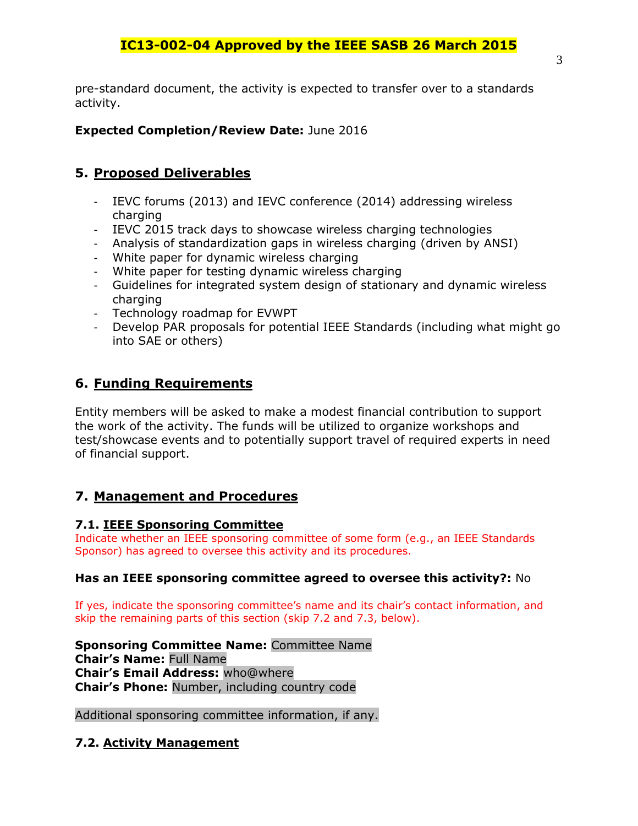# **IC13-002-04 Approved by the IEEE SASB 26 March 2015**

pre-standard document, the activity is expected to transfer over to a standards activity.

### **Expected Completion/Review Date:** June 2016

### **5. Proposed Deliverables**

- IEVC forums (2013) and IEVC conference (2014) addressing wireless charging
- IEVC 2015 track days to showcase wireless charging technologies
- Analysis of standardization gaps in wireless charging (driven by ANSI)
- White paper for dynamic wireless charging
- White paper for testing dynamic wireless charging
- Guidelines for integrated system design of stationary and dynamic wireless charging
- Technology roadmap for EVWPT
- Develop PAR proposals for potential IEEE Standards (including what might go into SAE or others)

## **6. Funding Requirements**

Entity members will be asked to make a modest financial contribution to support the work of the activity. The funds will be utilized to organize workshops and test/showcase events and to potentially support travel of required experts in need of financial support.

### **7. Management and Procedures**

#### **7.1. IEEE Sponsoring Committee**

Indicate whether an IEEE sponsoring committee of some form (e.g., an IEEE Standards Sponsor) has agreed to oversee this activity and its procedures.

#### **Has an IEEE sponsoring committee agreed to oversee this activity?:** No

If yes, indicate the sponsoring committee's name and its chair's contact information, and skip the remaining parts of this section (skip 7.2 and 7.3, below).

**Sponsoring Committee Name:** Committee Name **Chair's Name:** Full Name **Chair's Email Address:** who@where **Chair's Phone:** Number, including country code

Additional sponsoring committee information, if any.

### **7.2. Activity Management**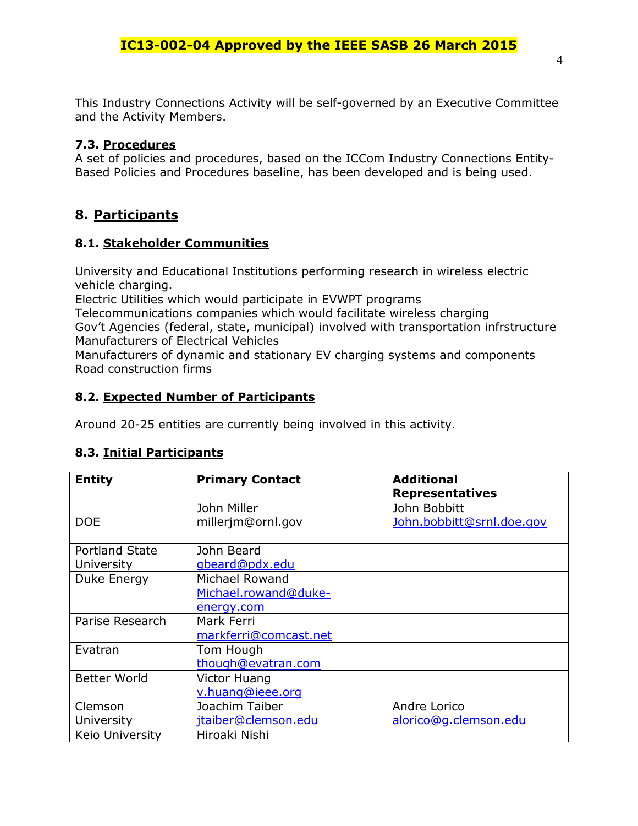This Industry Connections Activity will be self-governed by an Executive Committee and the Activity Members.

#### **7.3. Procedures**

A set of policies and procedures, based on the ICCom Industry Connections Entity-Based Policies and Procedures baseline, has been developed and is being used.

# **8. Participants**

#### **8.1. Stakeholder Communities**

University and Educational Institutions performing research in wireless electric vehicle charging.

Electric Utilities which would participate in EVWPT programs

Telecommunications companies which would facilitate wireless charging Gov't Agencies (federal, state, municipal) involved with transportation infrstructure Manufacturers of Electrical Vehicles

Manufacturers of dynamic and stationary EV charging systems and components Road construction firms

### **8.2. Expected Number of Participants**

Around 20-25 entities are currently being involved in this activity.

### **8.3. Initial Participants**

| <b>Entity</b>         | <b>Primary Contact</b> | <b>Additional</b><br><b>Representatives</b> |  |
|-----------------------|------------------------|---------------------------------------------|--|
|                       |                        |                                             |  |
|                       | John Miller            | John Bobbitt                                |  |
| <b>DOE</b>            | millerjm@ornl.gov      | John.bobbitt@srnl.doe.gov                   |  |
|                       |                        |                                             |  |
| <b>Portland State</b> | John Beard             |                                             |  |
| <b>University</b>     | gbeard@pdx.edu         |                                             |  |
| Duke Energy           | Michael Rowand         |                                             |  |
|                       | Michael.rowand@duke-   |                                             |  |
|                       | energy.com             |                                             |  |
| Parise Research       | Mark Ferri             |                                             |  |
|                       | markferri@comcast.net  |                                             |  |
| Evatran               | Tom Hough              |                                             |  |
|                       | though@evatran.com     |                                             |  |
| <b>Better World</b>   | Victor Huang           |                                             |  |
|                       | v.huang@ieee.org       |                                             |  |
| Clemson               | Joachim Taiber         | Andre Lorico                                |  |
| University            | jtaiber@clemson.edu    | alorico@g.clemson.edu                       |  |
| Keio University       | Hiroaki Nishi          |                                             |  |